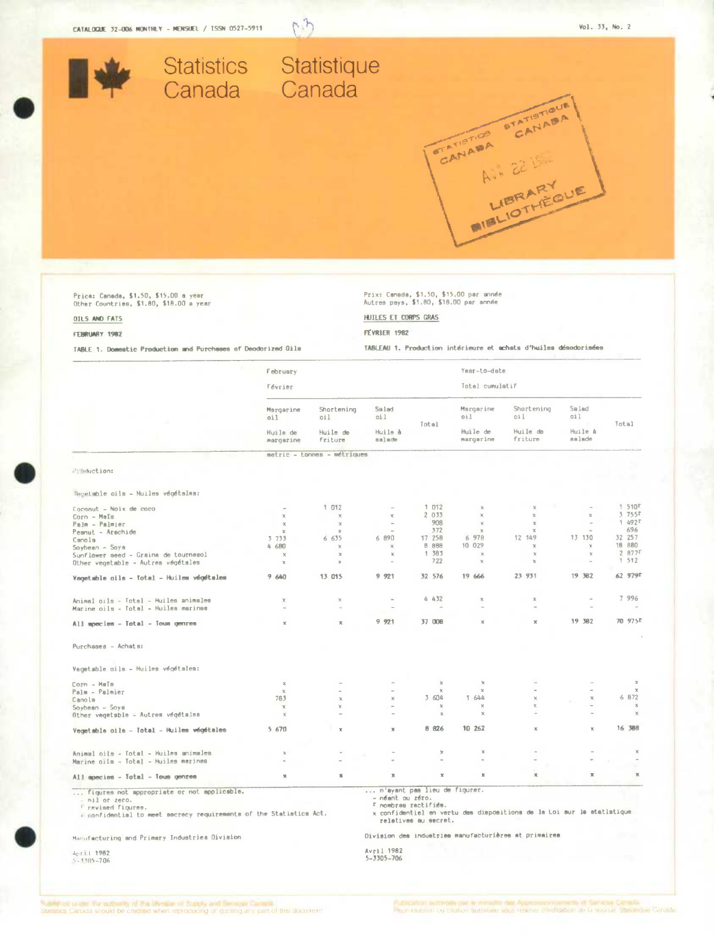

## FEBRUARY 1982

TABLE 1. Domestic Production and Purchases of Deodorized Oils

FÉVRIER 1982

TABLEAU 1. Production intérieure et achats d'huiles désodorisées

|                                                                                                                                                                     | February<br>Février      |                             |                                                  |                                                         | Year-to-date<br>Total cumulatif |                                                                       |                   |                     |
|---------------------------------------------------------------------------------------------------------------------------------------------------------------------|--------------------------|-----------------------------|--------------------------------------------------|---------------------------------------------------------|---------------------------------|-----------------------------------------------------------------------|-------------------|---------------------|
|                                                                                                                                                                     |                          |                             |                                                  |                                                         |                                 |                                                                       |                   |                     |
|                                                                                                                                                                     | Msrgerine<br>oil         | Shortening<br>oil.          | Salad<br>oi l                                    |                                                         | Margarine<br>0i1                | Shortening<br>oi l                                                    | Salad<br>oil      |                     |
|                                                                                                                                                                     | Huile de<br>margarine    | Huile de<br>friture         | Huile à<br>salade                                | Total                                                   | Huile de<br>margarine           | Huile de<br>friture                                                   | Muile à<br>salade | Total               |
|                                                                                                                                                                     |                          | metric - tonnes - métriques |                                                  |                                                         |                                 |                                                                       |                   |                     |
| Preduction:                                                                                                                                                         |                          |                             |                                                  |                                                         |                                 |                                                                       |                   |                     |
|                                                                                                                                                                     |                          |                             |                                                  |                                                         |                                 |                                                                       |                   |                     |
| Tegetable oils - Huiles végétalas:                                                                                                                                  |                          |                             |                                                  |                                                         |                                 |                                                                       |                   |                     |
| Coconut - Noix de coco                                                                                                                                              | $\sim$                   | 1012                        | $\sim$                                           | 1 012                                                   | $\mathbbm{K}$                   |                                                                       |                   | 1.510F              |
| Corn - Maïs                                                                                                                                                         | x                        | $\times$                    | $\mathcal{H}$                                    | 2 0 3 3                                                 | $\chi$                          | $\chi$                                                                | $\mathbf x$       | $3755$ F            |
| Palm - Palmier                                                                                                                                                      | $\mathbb{M}$             | $\chi$                      | $\sim$                                           | 908                                                     | $\chi$                          | x                                                                     |                   | $1492$ <sup>r</sup> |
| Peanut - Arachide                                                                                                                                                   | $\mathcal{M}_\mathrm{c}$ | $\mathcal{M}$               | $\alpha$                                         | 372                                                     | $\boldsymbol{\times}$           | $\infty$                                                              |                   | 696                 |
| Canola                                                                                                                                                              | 3 733                    | 6 635                       | 6 890                                            | 17 258                                                  | 6 978                           | 12 149                                                                | 13 130            | 32 257              |
| Soybean - Soya                                                                                                                                                      | 4 680                    | $\mathbb{X}$                | $\chi$                                           | <b>B</b> 888                                            | 10 029                          | $\chi$                                                                | $\chi$            | 18 880              |
| Sunflower seed - Graina de tournesol                                                                                                                                | $\boldsymbol{\times}$    | $\chi$                      | $\mathbbm{K}$                                    | 1 383                                                   | $\boldsymbol{\times}$           | $\mathbb{X}$                                                          | $\mathbb{X}$      | 2877                |
| Other vegetable - Autres végétales                                                                                                                                  | x                        | $\chi$                      | $\sim$                                           | 722                                                     | $\chi$                          | $\rm\thinspace\chi$                                                   | $\sim$            | 1512                |
| Vagetable oils - Total - Huilem végétalem                                                                                                                           | 9 640                    | 13 015                      | 9 921                                            | 32 576                                                  | 19 666                          | 23 931                                                                | 19 382            | 62 979F             |
| Animal oils - Total - Huiles animales                                                                                                                               | x                        | x                           | $\overline{a}$                                   | 4432                                                    | $\mathbb{X}$                    | ĸ                                                                     |                   | 7 996               |
| Marine oils - Total - Huiles marinae                                                                                                                                |                          |                             |                                                  |                                                         |                                 |                                                                       |                   |                     |
| All species - Total - Tous genres                                                                                                                                   | ×                        | $\rm X$                     | 9.921                                            | 37 008                                                  | $\mathbf x$                     | $\mathbf x$                                                           | 19 382            | 70 975F             |
| Purchases - Achats:                                                                                                                                                 |                          |                             |                                                  |                                                         |                                 |                                                                       |                   |                     |
|                                                                                                                                                                     |                          |                             |                                                  |                                                         |                                 |                                                                       |                   |                     |
| Vegetable oils - Huiles végétales:                                                                                                                                  |                          |                             |                                                  |                                                         |                                 |                                                                       |                   |                     |
| Corn - Maïs                                                                                                                                                         | $\mathbb{X}$             |                             | à,                                               | $\mathbb{X}$                                            | $\mathbf x$                     |                                                                       |                   | $\mathbbm{Z}$       |
| Palm - Palmier                                                                                                                                                      | $\chi$                   |                             | $\overline{\phantom{a}}$                         | $\chi$                                                  | $\boldsymbol{\times}$           |                                                                       |                   | $\chi$              |
| Canola                                                                                                                                                              | 783                      | $\mathbf{\hat{x}}$          | $\chi$                                           | 3 604                                                   | 1 644                           | $\mathbbm{K}$                                                         | $20^{\circ}$      | 6 872               |
| Soybean - Soye                                                                                                                                                      | $\mathbb{R}$             | $\mathbb{X}$                |                                                  | $\mathbf x$                                             | $\times$                        | x                                                                     | $\sim$            | $\mathbf{x}$        |
| Other vegetsble - Autres végétaisa                                                                                                                                  | $\mathbb X$              |                             | $\ddot{}$                                        | $\mathbb{X}_i$                                          | $\mathbb X$                     |                                                                       |                   | $\chi$              |
| Vegetabla oils - Total - Huiles végétales                                                                                                                           | 5 670                    | $\mathbf x$                 | $\mathbb X$                                      | 8 826                                                   | 10 262                          | $\mathbf x$                                                           | $\mathbbm{K}$     | 16 388              |
| Animal oils - Total - Huiles animales                                                                                                                               | $\mathbf x$              |                             |                                                  | $\chi$                                                  | x                               |                                                                       |                   | $\infty$            |
| Marine oils - Total - Huiles marines                                                                                                                                |                          |                             |                                                  |                                                         | $\overline{a}$                  |                                                                       |                   |                     |
| All apecies - Total - Tous genres                                                                                                                                   | x                        | $\mathbbm{N}$               | $\mathbb{X}$                                     | $\mathbb X$                                             | x                               | ×                                                                     | $\mathbf x$       | $\mathbb{N}$        |
| figures not appropriate or not applicable.<br>- nil or zero.<br><sup>1</sup> revised figures.<br>+ confidential to meet secrecy requirements of the Statistics Act. |                          |                             | n'ayant pas lieu de figurer.<br>- néant ou zéro. | <sup>r</sup> nombras ractifiés.<br>relatives au secret. |                                 | x confidentiel en vertu des dispositions de la Loi sur la statistique |                   |                     |
| Manufacturing and Primary Industries Division                                                                                                                       |                          |                             |                                                  |                                                         |                                 | Division des industries manufacturières et primaires                  |                   |                     |
| April 1982<br>$5 - 5505 - 706$                                                                                                                                      |                          |                             | Avril 1982<br>5-3305-706                         |                                                         |                                 |                                                                       |                   |                     |

and the state of the profile of the second containing or quoting any part of this document.